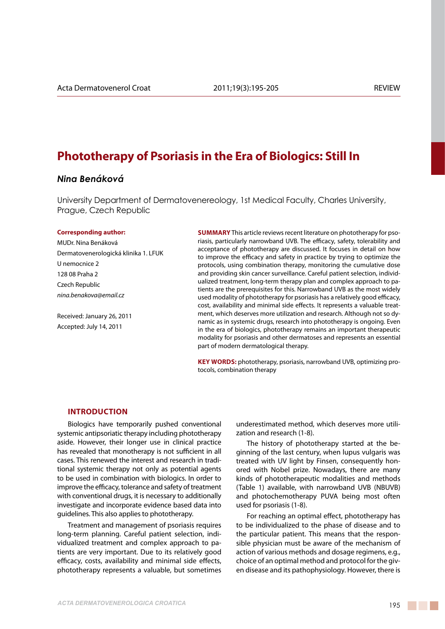# **Phototherapy of Psoriasis in the Era of Biologics: Still In**

# *Nina Benáková*

University Department of Dermatovenereology, 1st Medical Faculty, Charles University, Prague, Czech Republic

#### **Corresponding author:**

MUDr. Nina Benáková Dermatovenerologická klinika 1. LFUK U nemocnice 2 128 08 Praha 2 Czech Republic *nina.benakova@email.cz*

Received: January 26, 2011 Accepted: July 14, 2011

**SUMMARY** This article reviews recent literature on phototherapy for psoriasis, particularly narrowband UVB. The efficacy, safety, tolerability and acceptance of phototherapy are discussed. It focuses in detail on how to improve the efficacy and safety in practice by trying to optimize the protocols, using combination therapy, monitoring the cumulative dose and providing skin cancer surveillance. Careful patient selection, individualized treatment, long-term therapy plan and complex approach to patients are the prerequisites for this. Narrowband UVB as the most widely used modality of phototherapy for psoriasis has a relatively good efficacy, cost, availability and minimal side effects. It represents a valuable treatment, which deserves more utilization and research. Although not so dynamic as in systemic drugs, research into phototherapy is ongoing. Even in the era of biologics, phototherapy remains an important therapeutic modality for psoriasis and other dermatoses and represents an essential part of modern dermatological therapy.

**KEY WORDS:** phototherapy, psoriasis, narrowband UVB, optimizing protocols, combination therapy

### **Introduction**

Biologics have temporarily pushed conventional systemic antipsoriatic therapy including phototherapy aside. However, their longer use in clinical practice has revealed that monotherapy is not sufficient in all cases. This renewed the interest and research in traditional systemic therapy not only as potential agents to be used in combination with biologics. In order to improve the efficacy, tolerance and safety of treatment with conventional drugs, it is necessary to additionally investigate and incorporate evidence based data into guidelines. This also applies to phototherapy.

Treatment and management of psoriasis requires long-term planning. Careful patient selection, individualized treatment and complex approach to patients are very important. Due to its relatively good efficacy, costs, availability and minimal side effects, phototherapy represents a valuable, but sometimes underestimated method, which deserves more utilization and research (1-8).

The history of phototherapy started at the beginning of the last century, when lupus vulgaris was treated with UV light by Finsen, consequently honored with Nobel prize. Nowadays, there are many kinds of phototherapeutic modalities and methods (Table 1) available, with narrowband UVB (NBUVB) and photochemotherapy PUVA being most often used for psoriasis (1-8).

For reaching an optimal effect, phototherapy has to be individualized to the phase of disease and to the particular patient. This means that the responsible physician must be aware of the mechanism of action of various methods and dosage regimens, e.g., choice of an optimal method and protocol for the given disease and its pathophysiology. However, there is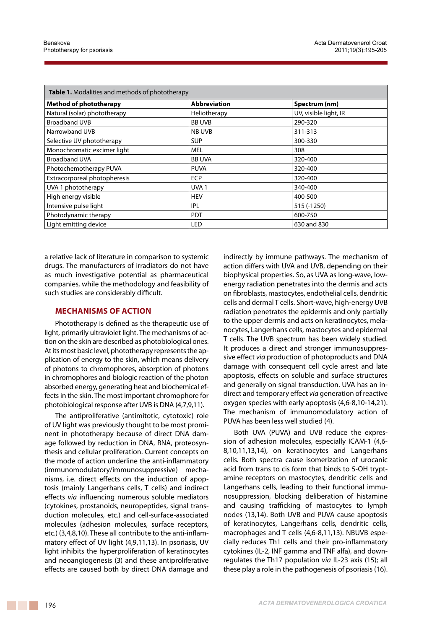| <b>Table 1.</b> Modalities and methods of phototherapy |                     |                       |
|--------------------------------------------------------|---------------------|-----------------------|
| <b>Method of phototherapy</b>                          | <b>Abbreviation</b> | Spectrum (nm)         |
| Natural (solar) phototherapy                           | Heliotherapy        | UV, visible light, IR |
| <b>Broadband UVB</b>                                   | <b>BB UVB</b>       | 290-320               |
| Narrowband UVB                                         | NB UVB              | 311-313               |
| Selective UV phototherapy                              | <b>SUP</b>          | 300-330               |
| Monochromatic excimer light                            | <b>MEL</b>          | 308                   |
| <b>Broadband UVA</b>                                   | <b>BB UVA</b>       | 320-400               |
| Photochemotherapy PUVA                                 | <b>PUVA</b>         | 320-400               |
| Extracorporeal photopheresis                           | <b>ECP</b>          | 320-400               |
| UVA 1 phototherapy                                     | UVA <sub>1</sub>    | 340-400               |
| High energy visible                                    | <b>HEV</b>          | 400-500               |
| Intensive pulse light                                  | IPL                 | 515 (-1250)           |
| Photodynamic therapy                                   | <b>PDT</b>          | 600-750               |
| Light emitting device                                  | <b>LED</b>          | 630 and 830           |

a relative lack of literature in comparison to systemic drugs. The manufacturers of irradiators do not have as much investigative potential as pharmaceutical companies, while the methodology and feasibility of such studies are considerably difficult.

## **Mechanisms of action**

Phototherapy is defined as the therapeutic use of light, primarily ultraviolet light. The mechanisms of action on the skin are described as photobiological ones. At its most basic level, phototherapy represents the application of energy to the skin, which means delivery of photons to chromophores, absorption of photons in chromophores and biologic reaction of the photon absorbed energy, generating heat and biochemical effects in the skin. The most important chromophore for photobiological response after UVB is DNA (4,7,9,11).

The antiproliferative (antimitotic, cytotoxic) role of UV light was previously thought to be most prominent in phototherapy because of direct DNA damage followed by reduction in DNA, RNA, proteosynthesis and cellular proliferation. Current concepts on the mode of action underline the anti-inflammatory (immunomodulatory/immunosuppressive) mechanisms, i.e. direct effects on the induction of apoptosis (mainly Langerhans cells, T cells) and indirect effects *via* influencing numerous soluble mediators (cytokines, prostanoids, neuropeptides, signal transduction molecules, etc.) and cell-surface-associated molecules (adhesion molecules, surface receptors, etc.) (3,4,8,10). These all contribute to the anti-inflammatory effect of UV light (4,9,11,13). In psoriasis, UV light inhibits the hyperproliferation of keratinocytes and neoangiogenesis (3) and these antiproliferative effects are caused both by direct DNA damage and

indirectly by immune pathways. The mechanism of action differs with UVA and UVB, depending on their biophysical properties. So, as UVA as long-wave, lowenergy radiation penetrates into the dermis and acts on fibroblasts, mastocytes, endothelial cells, dendritic cells and dermal T cells. Short-wave, high-energy UVB radiation penetrates the epidermis and only partially to the upper dermis and acts on keratinocytes, melanocytes, Langerhans cells, mastocytes and epidermal T cells. The UVB spectrum has been widely studied. It produces a direct and stronger immunosuppressive effect *via* production of photoproducts and DNA damage with consequent cell cycle arrest and late apoptosis, effects on soluble and surface structures and generally on signal transduction. UVA has an indirect and temporary effect *via* generation of reactive oxygen species with early apoptosis (4,6-8,10-14,21). The mechanism of immunomodulatory action of PUVA has been less well studied (4).

Both UVA (PUVA) and UVB reduce the expression of adhesion molecules, especially ICAM-1 (4,6- 8,10,11,13,14), on keratinocytes and Langerhans cells. Both spectra cause isomerization of urocanic acid from trans to cis form that binds to 5-OH tryptamine receptors on mastocytes, dendritic cells and Langerhans cells, leading to their functional immunosuppression, blocking deliberation of histamine and causing trafficking of mastocytes to lymph nodes (13,14). Both UVB and PUVA cause apoptosis of keratinocytes, Langerhans cells, dendritic cells, macrophages and T cells (4,6-8,11,13). NBUVB especially reduces Th1 cells and their pro-inflammatory cytokines (IL-2, INF gamma and TNF alfa), and downregulates the Th17 population *via* IL-23 axis (15); all these play a role in the pathogenesis of psoriasis (16).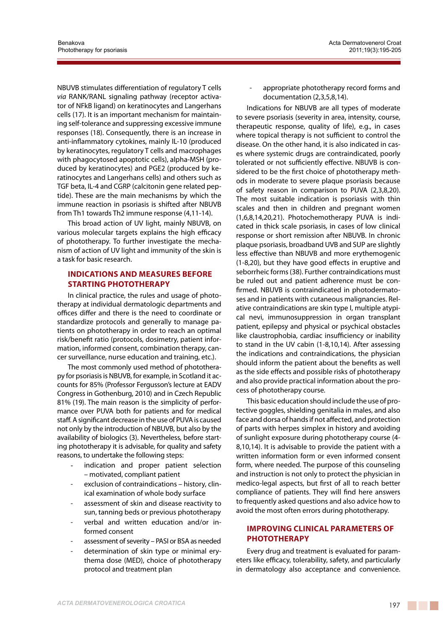NBUVB stimulates differentiation of regulatory T cells *via* RANK/RANL signaling pathway (receptor activator of NFkB ligand) on keratinocytes and Langerhans cells (17). It is an important mechanism for maintaining self-tolerance and suppressing excessive immune responses (18). Consequently, there is an increase in anti-inflammatory cytokines, mainly IL-10 (produced by keratinocytes, regulatory T cells and macrophages with phagocytosed apoptotic cells), alpha-MSH (produced by keratinocytes) and PGE2 (produced by keratinocytes and Langerhans cells) and others such as TGF beta, IL-4 and CGRP (calcitonin gene related peptide). These are the main mechanisms by which the immune reaction in psoriasis is shifted after NBUVB from Th1 towards Th2 immune response (4,11-14).

This broad action of UV light, mainly NBUVB, on various molecular targets explains the high efficacy of phototherapy. To further investigate the mechanism of action of UV light and immunity of the skin is a task for basic research.

# **Indications and measures before starting phototherapy**

In clinical practice, the rules and usage of phototherapy at individual dermatologic departments and offices differ and there is the need to coordinate or standardize protocols and generally to manage patients on phototherapy in order to reach an optimal risk/benefit ratio (protocols, dosimetry, patient information, informed consent, combination therapy, cancer surveillance, nurse education and training, etc.).

The most commonly used method of phototherapy for psoriasis is NBUVB, for example, in Scotland it accounts for 85% (Professor Fergusson's lecture at EADV Congress in Gothenburg, 2010) and in Czech Republic 81% (19). The main reason is the simplicity of performance over PUVA both for patients and for medical staff. A significant decrease in the use of PUVA is caused not only by the introduction of NBUVB, but also by the availability of biologics (3). Nevertheless, before starting phototherapy it is advisable, for quality and safety reasons, to undertake the following steps:

- indication and proper patient selection – motivated, compliant patient
- exclusion of contraindications history, clinical examination of whole body surface
- assessment of skin and disease reactivity to sun, tanning beds or previous phototherapy
- verbal and written education and/or informed consent
- assessment of severity PASI or BSA as needed
- determination of skin type or minimal erythema dose (MED), choice of phototherapy protocol and treatment plan

appropriate phototherapy record forms and documentation (2,3,5,8,14).

Indications for NBUVB are all types of moderate to severe psoriasis (severity in area, intensity, course, therapeutic response, quality of life), e.g., in cases where topical therapy is not sufficient to control the disease. On the other hand, it is also indicated in cases where systemic drugs are contraindicated, poorly tolerated or not sufficiently effective. NBUVB is considered to be the first choice of phototherapy methods in moderate to severe plaque psoriasis because of safety reason in comparison to PUVA (2,3,8,20). The most suitable indication is psoriasis with thin scales and then in children and pregnant women (1,6,8,14,20,21). Photochemotherapy PUVA is indicated in thick scale psoriasis, in cases of low clinical response or short remission after NBUVB. In chronic plaque psoriasis, broadband UVB and SUP are slightly less effective than NBUVB and more erythemogenic (1-8,20), but they have good effects in eruptive and seborrheic forms (38). Further contraindications must be ruled out and patient adherence must be confirmed. NBUVB is contraindicated in photodermatoses and in patients with cutaneous malignancies. Relative contraindications are skin type I, multiple atypical nevi, immunosuppression in organ transplant patient, epilepsy and physical or psychical obstacles like claustrophobia, cardiac insufficiency or inability to stand in the UV cabin (1-8,10,14). After assessing the indications and contraindications, the physician should inform the patient about the benefits as well as the side effects and possible risks of phototherapy and also provide practical information about the process of phototherapy course.

This basic education should include the use of protective goggles, shielding genitalia in males, and also face and dorsa of hands if not affected, and protection of parts with herpes simplex in history and avoiding of sunlight exposure during phototherapy course (4- 8,10,14). It is advisable to provide the patient with a written information form or even informed consent form, where needed. The purpose of this counseling and instruction is not only to protect the physician in medico-legal aspects, but first of all to reach better compliance of patients. They will find here answers to frequently asked questions and also advice how to avoid the most often errors during phototherapy.

# **Improving clinical parameters of phototherapy**

Every drug and treatment is evaluated for parameters like efficacy, tolerability, safety, and particularly in dermatology also acceptance and convenience.

a di Kabupatén Band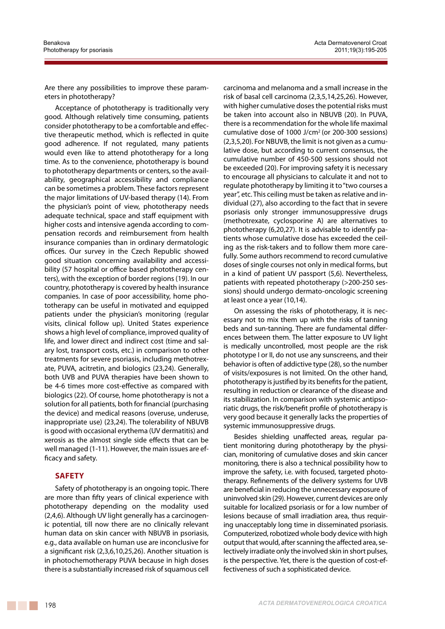Are there any possibilities to improve these parameters in phototherapy?

Acceptance of phototherapy is traditionally very good. Although relatively time consuming, patients consider phototherapy to be a comfortable and effective therapeutic method, which is reflected in quite good adherence. If not regulated, many patients would even like to attend phototherapy for a long time. As to the convenience, phototherapy is bound to phototherapy departments or centers, so the availability, geographical accessibility and compliance can be sometimes a problem. These factors represent the major limitations of UV-based therapy (14). From the physician's point of view, phototherapy needs adequate technical, space and staff equipment with higher costs and intensive agenda according to compensation records and reimbursement from health insurance companies than in ordinary dermatologic offices. Our survey in the Czech Republic showed good situation concerning availability and accessibility (57 hospital or office based phototherapy centers), with the exception of border regions (19). In our country, phototherapy is covered by health insurance companies. In case of poor accessibility, home phototherapy can be useful in motivated and equipped patients under the physician's monitoring (regular visits, clinical follow up). United States experience shows a high level of compliance, improved quality of life, and lower direct and indirect cost (time and salary lost, transport costs, etc.) in comparison to other treatments for severe psoriasis, including methotrexate, PUVA, acitretin, and biologics (23,24). Generally, both UVB and PUVA therapies have been shown to be 4-6 times more cost-effective as compared with biologics (22). Of course, home phototherapy is not a solution for all patients, both for financial (purchasing the device) and medical reasons (overuse, underuse, inappropriate use) (23,24). The tolerability of NBUVB is good with occasional erythema (UV dermatitis) and xerosis as the almost single side effects that can be well managed (1-11). However, the main issues are efficacy and safety.

# **Safety**

Safety of phototherapy is an ongoing topic. There are more than fifty years of clinical experience with phototherapy depending on the modality used (2,4,6). Although UV light generally has a carcinogenic potential, till now there are no clinically relevant human data on skin cancer with NBUVB in psoriasis, e.g., data available on human use are inconclusive for a significant risk (2,3,6,10,25,26). Another situation is in photochemotherapy PUVA because in high doses there is a substantially increased risk of squamous cell

carcinoma and melanoma and a small increase in the risk of basal cell carcinoma (2,3,5,14,25,26). However, with higher cumulative doses the potential risks must be taken into account also in NBUVB (20). In PUVA, there is a recommendation for the whole life maximal cumulative dose of 1000 J/cm2 (or 200-300 sessions) (2,3,5,20). For NBUVB, the limit is not given as a cumulative dose, but according to current consensus, the cumulative number of 450-500 sessions should not be exceeded (20). For improving safety it is necessary to encourage all physicians to calculate it and not to regulate phototherapy by limiting it to "two courses a year", etc. This ceiling must be taken as relative and individual (27), also according to the fact that in severe psoriasis only stronger immunosuppressive drugs (methotrexate, cyclosporine A) are alternatives to phototherapy (6,20,27). It is advisable to identify patients whose cumulative dose has exceeded the ceiling as the risk-takers and to follow them more carefully. Some authors recommend to record cumulative doses of single courses not only in medical forms, but in a kind of patient UV passport (5,6). Nevertheless, patients with repeated phototherapy (>200-250 sessions) should undergo dermato-oncologic screening at least once a year (10,14).

On assessing the risks of phototherapy, it is necessary not to mix them up with the risks of tanning beds and sun-tanning. There are fundamental differences between them. The latter exposure to UV light is medically uncontrolled, most people are the risk phototype I or II, do not use any sunscreens, and their behavior is often of addictive type (28), so the number of visits/exposures is not limited. On the other hand, phototherapy is justified by its benefits for the patient, resulting in reduction or clearance of the disease and its stabilization. In comparison with systemic antipsoriatic drugs, the risk/benefit profile of phototherapy is very good because it generally lacks the properties of systemic immunosuppressive drugs.

Besides shielding unaffected areas, regular patient monitoring during phototherapy by the physician, monitoring of cumulative doses and skin cancer monitoring, there is also a technical possibility how to improve the safety, i.e. with focused, targeted phototherapy. Refinements of the delivery systems for UVB are beneficial in reducing the unnecessary exposure of uninvolved skin (29). However, current devices are only suitable for localized psoriasis or for a low number of lesions because of small irradiation area, thus requiring unacceptably long time in disseminated psoriasis. Computerized, robotized whole body device with high output that would, after scanning the affected area, selectively irradiate only the involved skin in short pulses, is the perspective. Yet, there is the question of cost-effectiveness of such a sophisticated device.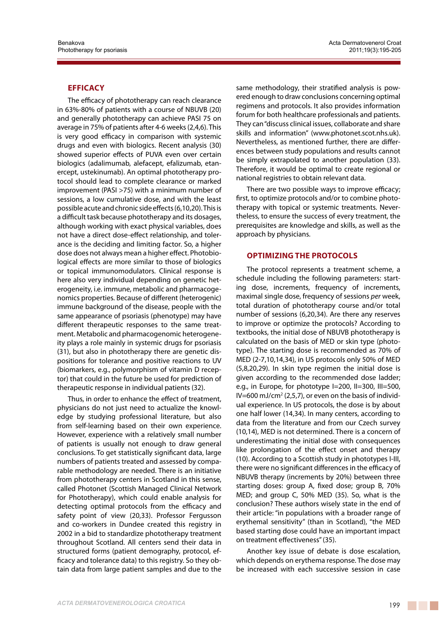## **Efficacy**

The efficacy of phototherapy can reach clearance in 63%-80% of patients with a course of NBUVB (20) and generally phototherapy can achieve PASI 75 on average in 75% of patients after 4-6 weeks (2,4,6). This is very good efficacy in comparison with systemic drugs and even with biologics. Recent analysis (30) showed superior effects of PUVA even over certain biologics (adalimumab, alefacept, efalizumab, etanercept, ustekinumab). An optimal phototherapy protocol should lead to complete clearance or marked improvement (PASI >75) with a minimum number of sessions, a low cumulative dose, and with the least possible acute and chronic side effects (6,10,20). This is a difficult task because phototherapy and its dosages, although working with exact physical variables, does not have a direct dose-effect relationship, and tolerance is the deciding and limiting factor. So, a higher dose does not always mean a higher effect. Photobiological effects are more similar to those of biologics or topical immunomodulators. Clinical response is here also very individual depending on genetic heterogeneity, i.e. immune, metabolic and pharmacogenomics properties. Because of different (heterogenic) immune background of the disease, people with the same appearance of psoriasis (phenotype) may have different therapeutic responses to the same treatment. Metabolic and pharmacogenomic heterogeneity plays a role mainly in systemic drugs for psoriasis (31), but also in phototherapy there are genetic dispositions for tolerance and positive reactions to UV (biomarkers, e.g., polymorphism of vitamin D receptor) that could in the future be used for prediction of therapeutic response in individual patients (32).

Thus, in order to enhance the effect of treatment, physicians do not just need to actualize the knowledge by studying professional literature, but also from self-learning based on their own experience. However, experience with a relatively small number of patients is usually not enough to draw general conclusions. To get statistically significant data, large numbers of patients treated and assessed by comparable methodology are needed. There is an initiative from phototherapy centers in Scotland in this sense, called Photonet (Scottish Managed Clinical Network for Phototherapy), which could enable analysis for detecting optimal protocols from the efficacy and safety point of view (20,33). Professor Fergusson and co-workers in Dundee created this registry in 2002 in a bid to standardize phototherapy treatment throughout Scotland. All centers send their data in structured forms (patient demography, protocol, efficacy and tolerance data) to this registry. So they obtain data from large patient samples and due to the same methodology, their stratified analysis is powered enough to draw conclusions concerning optimal regimens and protocols. It also provides information forum for both healthcare professionals and patients. They can "discuss clinical issues, collaborate and share skills and information" (www.photonet.scot.nhs.uk). Nevertheless, as mentioned further, there are differences between study populations and results cannot be simply extrapolated to another population (33). Therefore, it would be optimal to create regional or national registries to obtain relevant data.

There are two possible ways to improve efficacy; first, to optimize protocols and/or to combine phototherapy with topical or systemic treatments. Nevertheless, to ensure the success of every treatment, the prerequisites are knowledge and skills, as well as the approach by physicians.

#### **Optimizing the protocols**

The protocol represents a treatment scheme, a schedule including the following parameters: starting dose, increments, frequency of increments, maximal single dose, frequency of sessions *per* week, total duration of phototherapy course and/or total number of sessions (6,20,34). Are there any reserves to improve or optimize the protocols? According to textbooks, the initial dose of NBUVB phototherapy is calculated on the basis of MED or skin type (phototype). The starting dose is recommended as 70% of MED (2-7,10,14,34), in US protocols only 50% of MED (5,8,20,29). In skin type regimen the initial dose is given according to the recommended dose ladder; e.g., in Europe, for phototype I=200, II=300, III=500, IV=600 mJ/cm<sup>2</sup> (2,5,7), or even on the basis of individual experience. In US protocols, the dose is by about one half lower (14,34). In many centers, according to data from the literature and from our Czech survey (10,14), MED is not determined. There is a concern of underestimating the initial dose with consequences like prolongation of the effect onset and therapy (10). According to a Scottish study in phototypes I-III, there were no significant differences in the efficacy of NBUVB therapy (increments by 20%) between three starting doses: group A, fixed dose; group B, 70% MED; and group C, 50% MED (35). So, what is the conclusion? These authors wisely state in the end of their article: "in populations with a broader range of erythemal sensitivity" (than in Scotland), "the MED based starting dose could have an important impact on treatment effectiveness" (35).

Another key issue of debate is dose escalation, which depends on erythema response. The dose may be increased with each successive session in case

a na mata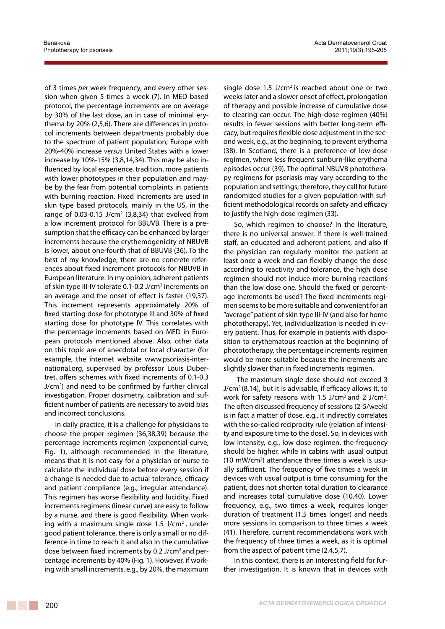of 3 times *per* week frequency, and every other session when given 5 times a week (7). In MED based protocol, the percentage increments are on average by 30% of the last dose, an in case of minimal erythema by 20% (2,5,6). There are differences in protocol increments between departments probably due to the spectrum of patient population; Europe with 20%-40% increase *versus* United States with a lower increase by 10%-15% (3,8,14,34). This may be also influenced by local experience, tradition, more patients with lower phototypes in their population and maybe by the fear from potential complaints in patients with burning reaction. Fixed increments are used in skin type based protocols, mainly in the US, in the range of 0.03-0.15 J/cm<sup>2</sup> (3,8,34) that evolved from a low increment protocol for BBUVB. There is a presumption that the efficacy can be enhanced by larger increments because the erythemogenicity of NBUVB is lower, about one-fourth that of BBUVB (36). To the best of my knowledge, there are no concrete references about fixed increment protocols for NBUVB in European literature. In my opinion, adherent patients of skin type III-IV tolerate 0.1-0.2 J/cm<sup>2</sup> increments on an average and the onset of effect is faster (19,37). This increment represents approximately 20% of fixed starting dose for phototype III and 30% of fixed starting dose for phototype IV. This correlates with the percentage increments based on MED in European protocols mentioned above. Also, other data on this topic are of anecdotal or local character (for example, the internet website www.psoriasis-international.org, supervised by professor Louis Dubertret, offers schemes with fixed increments of 0.1-0.3 J/cm2 ) and need to be confirmed by further clinical investigation. Proper dosimetry, calibration and sufficient number of patients are necessary to avoid bias and incorrect conclusions.

In daily practice, it is a challenge for physicians to choose the proper regimen (36,38,39) because the percentage increments regimen (exponential curve, Fig. 1), although recommended in the literature, means that it is not easy for a physician or nurse to calculate the individual dose before every session if a change is needed due to actual tolerance, efficacy and patient compliance (e.g., irregular attendance). This regimen has worse flexibility and lucidity. Fixed increments regimens (linear curve) are easy to follow by a nurse, and there is good flexibility. When working with a maximum single dose 1.5 J/ $\text{cm}^2$ , under good patient tolerance, there is only a small or no difference in time to reach it and also in the cumulative dose between fixed increments by 0.2 J/cm2 and percentage increments by 40% (Fig. 1). However, if working with small increments, e.g., by 20%, the maximum

single dose  $1.5$  J/cm<sup>2</sup> is reached about one or two weeks later and a slower onset of effect, prolongation of therapy and possible increase of cumulative dose to clearing can occur. The high-dose regimen (40%) results in fewer sessions with better long-term efficacy, but requires flexible dose adjustment in the second week, e.g., at the beginning, to prevent erythema (38). In Scotland, there is a preference of low-dose regimen, where less frequent sunburn-like erythema episodes occur (39). The optimal NBUVB phototherapy regimens for psoriasis may vary according to the population and settings; therefore, they call for future randomized studies for a given population with sufficient methodological records on safety and efficacy to justify the high-dose regimen (33).

So, which regimen to choose? In the literature, there is no universal answer. If there is well-trained staff, an educated and adherent patient, and also if the physician can regularly monitor the patient at least once a week and can flexibly change the dose according to reactivity and tolerance, the high dose regimen should not induce more burning reactions than the low dose one. Should the fixed or percentage increments be used? The fixed increments regimen seems to be more suitable and convenient for an "average" patient of skin type III-IV (and also for home phototherapy). Yet, individualization is needed in every patient. Thus, for example in patients with disposition to erythematous reaction at the beginning of photototherapy, the percentage increments regimen would be more suitable because the increments are slightly slower than in fixed increments regimen.

The maximum single dose should not exceed 3  $J/cm<sup>2</sup>$  (8,14), but it is advisable, if efficacy allows it, to work for safety reasons with  $1.5$  J/cm<sup>2</sup> and  $2$  J/cm<sup>2</sup>. The often discussed frequency of sessions (2-5/week) is in fact a matter of dose, e.g., it indirectly correlates with the so-called reciprocity rule (relation of intensity and exposure time to the dose). So, in devices with low intensity, e.g., low dose regimen, the frequency should be higher, while in cabins with usual output (10 mW/cm<sup>2</sup>) attendance three times a week is usually sufficient. The frequency of five times a week in devices with usual output is time consuming for the patient, does not shorten total duration to clearance and increases total cumulative dose (10,40). Lower frequency, e.g., two times a week, requires longer duration of treatment (1.5 times longer) and needs more sessions in comparison to three times a week (41). Therefore, current recommendations work with the frequency of three times a week, as it is optimal from the aspect of patient time (2,4,5,7).

In this context, there is an interesting field for further investigation. It is known that in devices with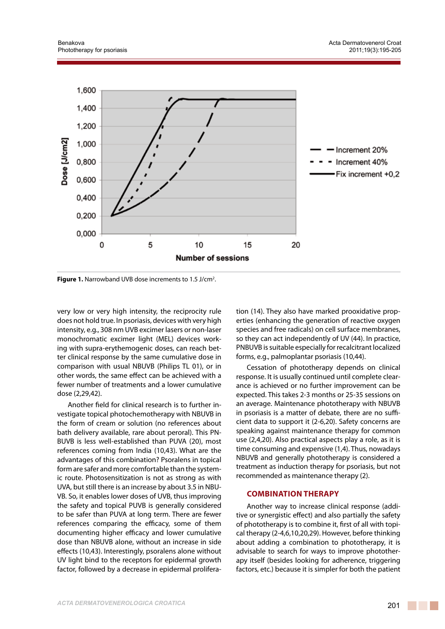

Figure 1. Narrowband UVB dose increments to 1.5 J/cm<sup>2</sup>.

very low or very high intensity, the reciprocity rule does not hold true. In psoriasis, devices with very high intensity, e.g., 308 nm UVB excimer lasers or non-laser monochromatic excimer light (MEL) devices working with supra-erythemogenic doses, can reach better clinical response by the same cumulative dose in comparison with usual NBUVB (Philips TL 01), or in other words, the same effect can be achieved with a fewer number of treatments and a lower cumulative dose (2,29,42).

Another field for clinical research is to further investigate topical photochemotherapy with NBUVB in the form of cream or solution (no references about bath delivery available, rare about peroral). This PN-BUVB is less well-established than PUVA (20), most references coming from India (10,43). What are the advantages of this combination? Psoralens in topical form are safer and more comfortable than the systemic route. Photosensitization is not as strong as with UVA, but still there is an increase by about 3.5 in NBU-VB. So, it enables lower doses of UVB, thus improving the safety and topical PUVB is generally considered to be safer than PUVA at long term. There are fewer references comparing the efficacy, some of them documenting higher efficacy and lower cumulative dose than NBUVB alone, without an increase in side effects (10,43). Interestingly, psoralens alone without UV light bind to the receptors for epidermal growth factor, followed by a decrease in epidermal proliferation (14). They also have marked prooxidative properties (enhancing the generation of reactive oxygen species and free radicals) on cell surface membranes, so they can act independently of UV (44). In practice, PNBUVB is suitable especially for recalcitrant localized forms, e.g., palmoplantar psoriasis (10,44).

Cessation of phototherapy depends on clinical response. It is usually continued until complete clearance is achieved or no further improvement can be expected. This takes 2-3 months or 25-35 sessions on an average. Maintenance phototherapy with NBUVB in psoriasis is a matter of debate, there are no sufficient data to support it (2-6,20). Safety concerns are speaking against maintenance therapy for common use (2,4,20). Also practical aspects play a role, as it is time consuming and expensive (1,4). Thus, nowadays NBUVB and generally phototherapy is considered a treatment as induction therapy for psoriasis, but not recommended as maintenance therapy (2).

# **Combination therapy**

Another way to increase clinical response (additive or synergistic effect) and also partially the safety of phototherapy is to combine it, first of all with topical therapy (2-4,6,10,20,29). However, before thinking about adding a combination to phototherapy, it is advisable to search for ways to improve phototherapy itself (besides looking for adherence, triggering factors, etc.) because it is simpler for both the patient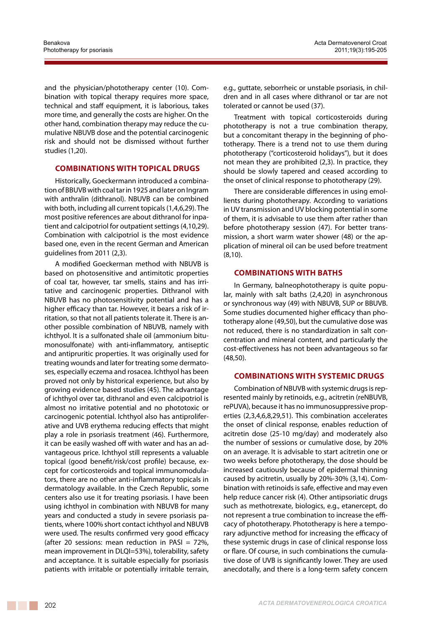and the physician/phototherapy center (10). Combination with topical therapy requires more space, technical and staff equipment, it is laborious, takes more time, and generally the costs are higher. On the other hand, combination therapy may reduce the cumulative NBUVB dose and the potential carcinogenic risk and should not be dismissed without further studies (1,20).

## **Combinations with topical drugs**

Historically, Goeckermann introduced a combination of BBUVB with coal tar in 1925 and later on Ingram with anthralin (dithranol). NBUVB can be combined with both, including all current topicals (1,4,6,29). The most positive references are about dithranol for inpatient and calcipotriol for outpatient settings (4,10,29). Combination with calcipotriol is the most evidence based one, even in the recent German and American guidelines from 2011 (2,3).

A modified Goeckerman method with NBUVB is based on photosensitive and antimitotic properties of coal tar, however, tar smells, stains and has irritative and carcinogenic properties. Dithranol with NBUVB has no photosensitivity potential and has a higher efficacy than tar. However, it bears a risk of irritation, so that not all patients tolerate it. There is another possible combination of NBUVB, namely with ichthyol. It is a sulfonated shale oil (ammonium bitumonosulfonate) with anti-inflammatory, antiseptic and antipruritic properties. It was originally used for treating wounds and later for treating some dermatoses, especially eczema and rosacea. Ichthyol has been proved not only by historical experience, but also by growing evidence based studies (45). The advantage of ichthyol over tar, dithranol and even calcipotriol is almost no irritative potential and no phototoxic or carcinogenic potential. Ichthyol also has antiproliferative and UVB erythema reducing effects that might play a role in psoriasis treatment (46). Furthermore, it can be easily washed off with water and has an advantageous price. Ichthyol still represents a valuable topical (good benefit/risk/cost profile) because, except for corticosteroids and topical immunomodulators, there are no other anti-inflammatory topicals in dermatology available. In the Czech Republic, some centers also use it for treating psoriasis. I have been using ichthyol in combination with NBUVB for many years and conducted a study in severe psoriasis patients, where 100% short contact ichthyol and NBUVB were used. The results confirmed very good efficacy (after 20 sessions: mean reduction in PASI =  $72\%$ , mean improvement in DLQI=53%), tolerability, safety and acceptance. It is suitable especially for psoriasis patients with irritable or potentially irritable terrain,

e.g., guttate, seborrheic or unstable psoriasis, in children and in all cases where dithranol or tar are not tolerated or cannot be used (37).

Treatment with topical corticosteroids during phototherapy is not a true combination therapy, but a concomitant therapy in the beginning of phototherapy. There is a trend not to use them during phototherapy ("corticosteroid holidays"), but it does not mean they are prohibited (2,3). In practice, they should be slowly tapered and ceased according to the onset of clinical response to phototherapy (29).

There are considerable differences in using emollients during phototherapy. According to variations in UV transmission and UV blocking potential in some of them, it is advisable to use them after rather than before phototherapy session (47). For better transmission, a short warm water shower (48) or the application of mineral oil can be used before treatment (8,10).

## **Combinations with baths**

In Germany, balneophototherapy is quite popular, mainly with salt baths (2,4,20) in asynchronous or synchronous way (49) with NBUVB, SUP or BBUVB. Some studies documented higher efficacy than phototherapy alone (49,50), but the cumulative dose was not reduced, there is no standardization in salt concentration and mineral content, and particularly the cost-effectiveness has not been advantageous so far (48,50).

#### **Combinations with systemic drugs**

Combination of NBUVB with systemic drugs is represented mainly by retinoids, e.g., acitretin (reNBUVB, rePUVA), because it has no immunosuppressive properties (2,3,4,6,8,29,51). This combination accelerates the onset of clinical response, enables reduction of acitretin dose (25-10 mg/day) and moderately also the number of sessions or cumulative dose, by 20% on an average. It is advisable to start acitretin one or two weeks before phototherapy, the dose should be increased cautiously because of epidermal thinning caused by acitretin, usually by 20%-30% (3,14). Combination with retinoids is safe, effective and may even help reduce cancer risk (4). Other antipsoriatic drugs such as methotrexate, biologics, e.g., etanercept, do not represent a true combination to increase the efficacy of phototherapy. Phototherapy is here a temporary adjunctive method for increasing the efficacy of these systemic drugs in case of clinical response loss or flare. Of course, in such combinations the cumulative dose of UVB is significantly lower. They are used anecdotally, and there is a long-term safety concern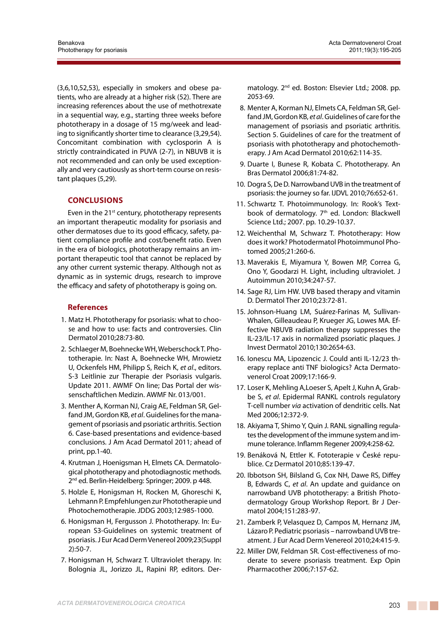(3,6,10,52,53), especially in smokers and obese patients, who are already at a higher risk (52). There are increasing references about the use of methotrexate in a sequential way, e.g., starting three weeks before phototherapy in a dosage of 15 mg/week and leading to significantly shorter time to clearance (3,29,54). Concomitant combination with cyclosporin A is strictly contraindicated in PUVA (2-7), in NBUVB it is not recommended and can only be used exceptionally and very cautiously as short-term course on resistant plaques (5,29).

# **Conclusions**

Even in the  $21<sup>st</sup>$  century, phototherapy represents an important therapeutic modality for psoriasis and other dermatoses due to its good efficacy, safety, patient compliance profile and cost/benefit ratio. Even in the era of biologics, phototherapy remains an important therapeutic tool that cannot be replaced by any other current systemic therapy. Although not as dynamic as in systemic drugs, research to improve the efficacy and safety of phototherapy is going on.

# **References**

- 1. Matz H. Phototherapy for psoriasis: what to choose and how to use: facts and controversies. Clin Dermatol 2010;28:73-80.
- 2. Schlaeger M, Boehnecke WH, Weberschock T. Phototherapie. In: Nast A, Boehnecke WH, Mrowietz U, Ockenfels HM, Philipp S, Reich K, *et al*., editors. S-3 Leitlinie zur Therapie der Psoriasis vulgaris. Update 2011. AWMF On line; Das Portal der wissenschaftlichen Medizin. AWMF Nr. 013/001.
- 3. Menther A, Korman NJ, Craig AE, Feldman SR, Gelfand JM, Gordon KB, *et al*. Guidelines for the management of psoriasis and psoriatic arthritis. Section 6. Case-based presentations and evidence-based conclusions. J Am Acad Dermatol 2011; ahead of print, pp.1-40.
- 4. Krutman J, Hoenigsman H, Elmets CA. Dermatological phototherapy and photodiagnostic methods. 2<sup>nd</sup> ed. Berlin-Heidelberg: Springer; 2009. p 448.
- 5. Holzle E, Honigsman H, Rocken M, Ghoreschi K, Lehmann P. Empfehlungen zur Phototherapie und Photochemotherapie.JDDG 2003;12:985-1000.
- 6. Honigsman H, Fergusson J. Phototherapy. In: European S3-Guidelines on systemic treatment of psoriasis. J Eur Acad Derm Venereol 2009;23(Suppl 2):50-7.
- 7. Honigsman H, Schwarz T. Ultraviolet therapy. In: Bolognia JL, Jorizzo JL, Rapini RP, editors. Der-

matology. 2nd ed. Boston: Elsevier Ltd.; 2008. pp. 2053-69.

- 8. Menter A, Korman NJ, Elmets CA, Feldman SR, Gelfand JM, Gordon KB, *et al*. Guidelines of care for the management of psoriasis and psoriatic arthritis. Section 5. Guidelines of care for the treatment of psoriasis with phototherapy and photochemotherapy. J Am Acad Dermatol 2010;62:114-35.
- 9. Duarte I, Bunese R, Kobata C. Phototherapy. An Bras Dermatol 2006;81:74-82.
- 10. Dogra S, De D. Narrowband UVB in the treatment of psoriasis: the journey so far. IJDVL 2010;76:652-61.
- 11. Schwartz T. Photoimmunology. In: Rook's Textbook of dermatology. 7<sup>th</sup> ed. London: Blackwell Science Ltd.; 2007. pp. 10.29-10.37.
- 12. Weichenthal M, Schwarz T. Phototherapy: How does it work? Photodermatol Photoimmunol Photomed 2005;21:260-6.
- 13. Maverakis E, Miyamura Y, Bowen MP, Correa G, Ono Y, Goodarzi H. Light, including ultraviolet. J Autoimmun 2010;34:247-57.
- 14. Sage RJ, Lim HW. UVB based therapy and vitamin D. Dermatol Ther 2010;23:72-81.
- 15. Johnson-Huang LM, Suárez-Farinas M, Sullivan-Whalen, Gilleaudeau P, Krueger JG, Lowes MA. Effective NBUVB radiation therapy suppresses the IL-23/IL-17 axis in normalized psoriatic plaques. J Invest Dermatol 2010;130:2654-63.
- 16. Ionescu MA, Lipozencic J. Could anti IL-12/23 therapy replace anti TNF biologics? Acta Dermatovenerol Croat 2009;17:166-9.
- 17. Loser K, Mehling A,Loeser S, Apelt J, Kuhn A, Grabbe S, *et al*. Epidermal RANKL controls regulatory T-cell number *via* activation of dendritic cells. Nat Med 2006;12:372-9.
- 18. Akiyama T, Shimo Y, Quin J. RANL signalling regulates the development of the immune system and immune tolerance. Inflamm Regener 2009;4:258-62.
- 19. Benáková N, Ettler K. Fototerapie v České republice. Cz Dermatol 2010;85:139-47.
- 20. Ibbotson SH, Bilsland G, Cox NH, Dawe RS, Diffey B, Edwards C, *et al*. An update and guidance on narrowband UVB phototherapy: a British Photodermatology Group Workshop Report. Br J Dermatol 2004;151:283-97.
- 21. Zamberk P, Velasquez D, Campos M, Hernanz JM, Lázaro P. Pediatric psoriasis – narrowband UVB treatment. J Eur Acad Derm Venereol 2010;24:415-9.
- 22. Miller DW, Feldman SR. Cost-effectiveness of moderate to severe psoriasis treatment. Exp Opin Pharmacother 2006;7:157-62.

a na mata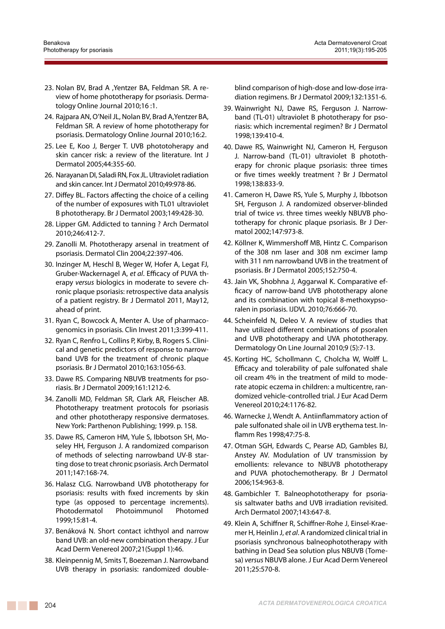- 23. Nolan BV, Brad A ,Yentzer BA, Feldman SR. A review of home phototherapy for psoriasis. Dermatology Online Journal 2010;16 :1.
- 24. Rajpara AN, O'Neil JL, Nolan BV, Brad A,Yentzer BA, Feldman SR. A review of home phototherapy for psoriasis. Dermatology Online Journal 2010;16:2.
- 25. Lee E, Koo J, Berger T. UVB phototoherapy and skin cancer risk: a review of the literature. Int J Dermatol 2005;44:355-60.
- 26. Narayanan DI, Saladi RN, Fox JL. Ultraviolet radiation and skin cancer. Int J Dermatol 2010;49:978-86.
- 27. Diffey BL. Factors affecting the choice of a ceiling of the number of exposures with TL01 ultraviolet B phototherapy. Br J Dermatol 2003;149:428-30.
- 28. Lipper GM. Addicted to tanning ? Arch Dermatol 2010;246:412-7.
- 29. Zanolli M. Phototherapy arsenal in treatment of psoriasis. Dermatol Clin 2004;22:397-406.
- 30. Inzinger M, Heschl B, Weger W, Hofer A, Legat FJ, Gruber-Wackernagel A, *et al*. Efficacy of PUVA therapy *versus* biologics in moderate to severe chronic plaque psoriasis: retrospective data analysis of a patient registry. Br J Dermatol 2011, May12, ahead of print.
- 31. Ryan C, Bowcock A, Menter A. Use of pharmacogenomics in psoriasis. Clin Invest 2011;3:399-411.
- 32. Ryan C, Renfro L, Collins P, Kirby, B, Rogers S. Clinical and genetic predictors of response to narrowband UVB for the treatment of chronic plaque psoriasis. Br J Dermatol 2010;163:1056-63.
- 33. Dawe RS. Comparing NBUVB treatments for psoriasis. Br J Dermatol 2009;161:1212-6.
- 34. Zanolli MD, Feldman SR, Clark AR, Fleischer AB. Phototherapy treatment protocols for psoriasis and other phototherapy responsive dermatoses. New York: Parthenon Publishing; 1999. p. 158.
- 35. Dawe RS, Cameron HM, Yule S, Ibbotson SH, Moseley HH, Ferguson J. A randomized comparison of methods of selecting narrowband UV-B starting dose to treat chronic psoriasis. Arch Dermatol 2011;147:168-74.
- 36. Halasz CLG. Narrowband UVB phototherapy for psoriasis: results with fixed increments by skin type (as opposed to percentage increments). Photodermatol Photoimmunol Photomed 1999;15:81-4.
- 37. Benáková N. Short contact ichthyol and narrow band UVB: an old-new combination therapy. J Eur Acad Derm Venereol 2007;21(Suppl 1):46.
- 38. Kleinpennig M, Smits T, Boezeman J. Narrowband UVB therapy in psoriasis: randomized double-

blind comparison of high-dose and low-dose irradiation regimens. Br J Dermatol 2009;132:1351-6.

- 39. Wainwright NJ, Dawe RS, Ferguson J. Narrowband (TL-01) ultraviolet B phototherapy for psoriasis: which incremental regimen? Br J Dermatol 1998;139:410-4.
- 40. Dawe RS, Wainwright NJ, Cameron H, Ferguson J. Narrow-band (TL-01) ultraviolet B phototherapy for chronic plaque psoriasis: three times or five times weekly treatment ? Br J Dermatol 1998;138:833-9.
- 41. Cameron H, Dawe RS, Yule S, Murphy J, Ibbotson SH, Ferguson J. A randomized observer-blinded trial of twice *vs*. three times weekly NBUVB phototherapy for chronic plaque psoriasis. Br J Dermatol 2002;147:973-8.
- 42. Köllner K, Wimmershoff MB, Hintz C. Comparison of the 308 nm laser and 308 nm excimer lamp with 311 nm narrowband UVB in the treatment of psoriasis. Br J Dermatol 2005;152:750-4.
- 43. Jain VK, Shobhna J, Aggarwal K. Comparative efficacy of narrow-band UVB phototherapy alone and its combination with topical 8-methoxypsoralen in psoriasis. IJDVL 2010;76:666-70.
- 44. Scheinfeld N, Deleo V. A review of studies that have utilized different combinations of psoralen and UVB phototherapy and UVA phototherapy. Dermatology On Line Journal 2010;9 (5):7-13.
- 45. Korting HC, Schollmann C, Cholcha W, Wolff L. Efficacy and tolerability of pale sulfonated shale oil cream 4% in the treatment of mild to moderate atopic eczema in children: a multicentre, randomized vehicle-controlled trial. J Eur Acad Derm Venereol 2010;24:1176-82.
- 46. Warnecke J, Wendt A. Antiinflammatory action of pale sulfonated shale oil in UVB erythema test. Inflamm Res 1998;47:75-8.
- 47. Otman SGH, Edwards C, Pearse AD, Gambles BJ, Anstey AV. Modulation of UV transmission by emollients: relevance to NBUVB phototherapy and PUVA photochemotherapy. Br J Dermatol 2006;154:963-8.
- 48. Gambichler T. Balneophototherapy for psoriasis saltwater baths and UVB irradiation revisited. Arch Dermatol 2007;143:647-8.
- 49. Klein A, Schiffner R, Schiffner-Rohe J, Einsel-Kraemer H, Heinlin J, *et al*. A randomized clinical trial in psoriasis synchronous balneophototherapy with bathing in Dead Sea solution plus NBUVB (Tomesa) *versus* NBUVB alone. J Eur Acad Derm Venereol 2011;25:570-8.